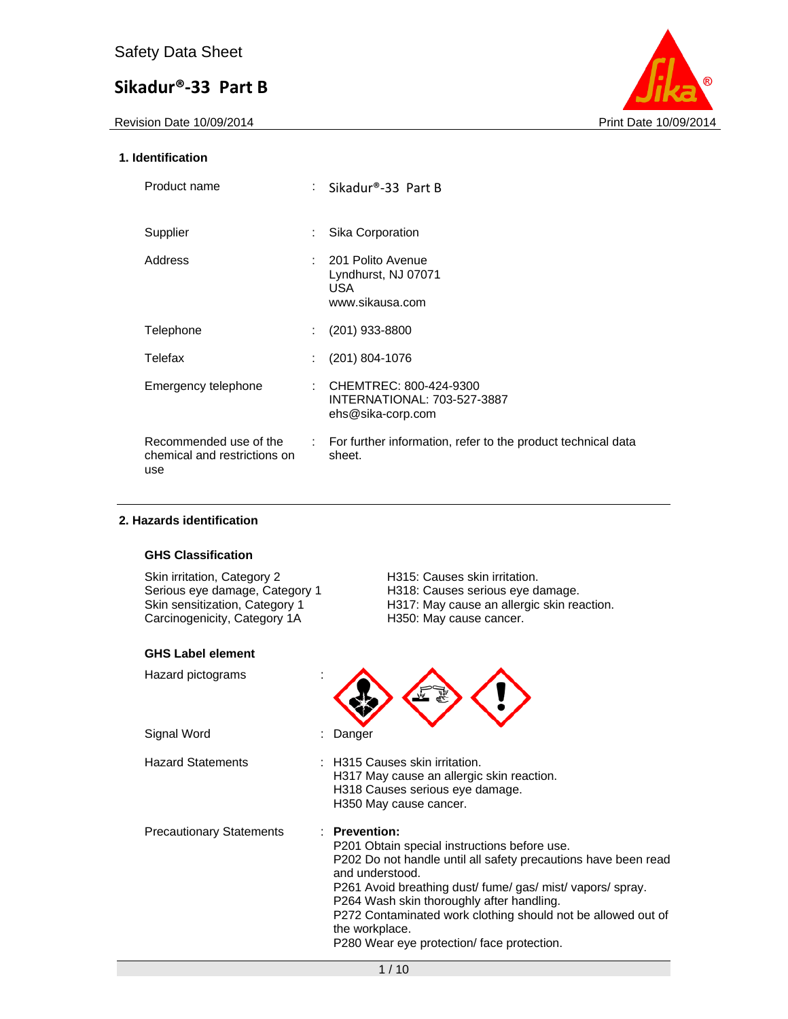Revision Date 10/09/2014 **Print Date 10/09/2014** 



### **1. Identification**

| Product name                                                  |                             | : Sikadur®-33 Part B                                                              |
|---------------------------------------------------------------|-----------------------------|-----------------------------------------------------------------------------------|
| Supplier                                                      | ÷                           | Sika Corporation                                                                  |
| Address                                                       | t.                          | 201 Polito Avenue<br>Lyndhurst, NJ 07071<br>USA.<br>www.sikausa.com               |
| Telephone                                                     |                             | $(201)$ 933-8800                                                                  |
| Telefax                                                       | ÷                           | $(201)$ 804-1076                                                                  |
| Emergency telephone                                           | ÷                           | CHEMTREC: 800-424-9300<br><b>INTERNATIONAL: 703-527-3887</b><br>ehs@sika-corp.com |
| Recommended use of the<br>chemical and restrictions on<br>use | $\mathcal{L}^{\mathcal{L}}$ | For further information, refer to the product technical data<br>sheet.            |

### **2. Hazards identification**

# **GHS Classification**

Skin irritation, Category 2 **H315: Causes skin irritation.**<br>
Serious eye damage, Category 1 H318: Causes serious eye damage, Category 1 Skin sensitization, Category 1<br>Carcinogenicity, Category 1A

### **GHS Label element**

H318: Causes serious eye damage. H317: May cause an allergic skin reaction.<br>H350: May cause cancer.

| Hazard pictograms        |                                                                                                                                                                                                                                                                                                                                                                                                          |
|--------------------------|----------------------------------------------------------------------------------------------------------------------------------------------------------------------------------------------------------------------------------------------------------------------------------------------------------------------------------------------------------------------------------------------------------|
| Signal Word              | : Danger                                                                                                                                                                                                                                                                                                                                                                                                 |
| <b>Hazard Statements</b> | : H315 Causes skin irritation.<br>H317 May cause an allergic skin reaction.<br>H318 Causes serious eye damage.<br>H350 May cause cancer.                                                                                                                                                                                                                                                                 |
| Precautionary Statements | $\therefore$ Prevention:<br>P201 Obtain special instructions before use.<br>P202 Do not handle until all safety precautions have been read<br>and understood.<br>P261 Avoid breathing dust/ fume/ gas/ mist/ vapors/ spray.<br>P264 Wash skin thoroughly after handling.<br>P272 Contaminated work clothing should not be allowed out of<br>the workplace.<br>P280 Wear eye protection/ face protection. |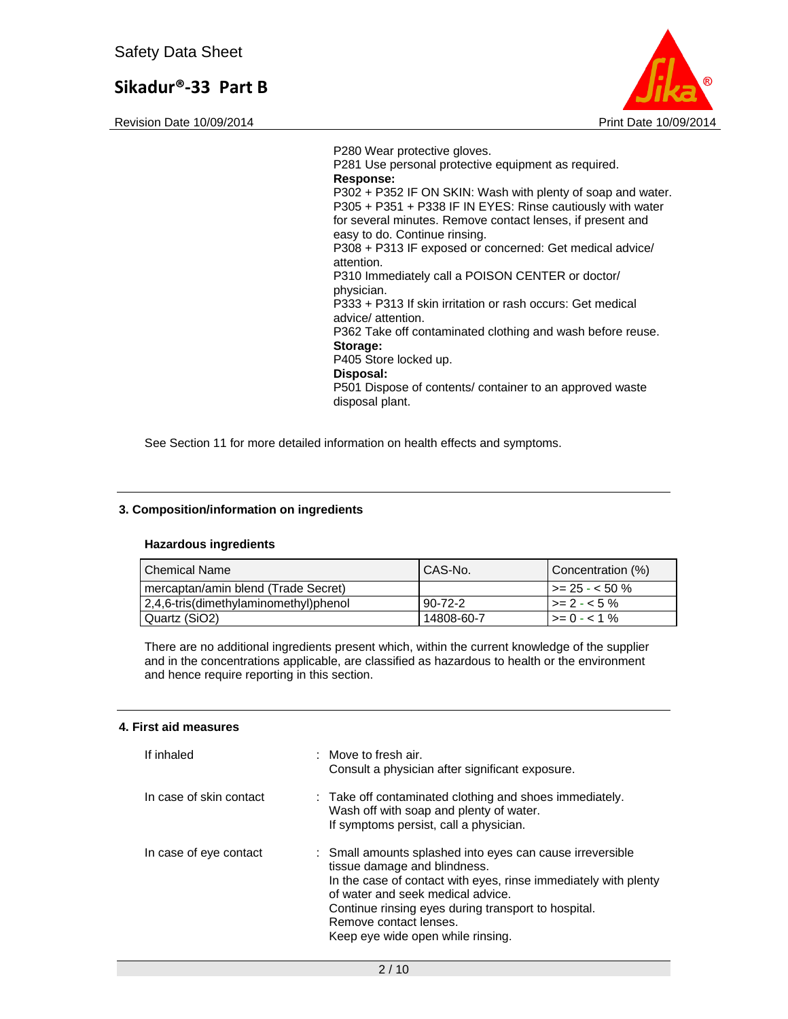Revision Date 10/09/2014 **Print Date 10/09/2014** Print Date 10/09/2014



P280 Wear protective gloves. P281 Use personal protective equipment as required. **Response:**  P302 + P352 IF ON SKIN: Wash with plenty of soap and water. P305 + P351 + P338 IF IN EYES: Rinse cautiously with water for several minutes. Remove contact lenses, if present and easy to do. Continue rinsing. P308 + P313 IF exposed or concerned: Get medical advice/ attention. P310 Immediately call a POISON CENTER or doctor/ physician. P333 + P313 If skin irritation or rash occurs: Get medical advice/ attention. P362 Take off contaminated clothing and wash before reuse. **Storage:**  P405 Store locked up. **Disposal:**  P501 Dispose of contents/ container to an approved waste disposal plant.

See Section 11 for more detailed information on health effects and symptoms.

### **3. Composition/information on ingredients**

#### **Hazardous ingredients**

| l Chemical Name                       | CAS-No.    | Concentration (%)       |
|---------------------------------------|------------|-------------------------|
| mercaptan/amin blend (Trade Secret)   |            | $\vert$ >= 25 - < 50 %  |
| 2,4,6-tris(dimethylaminomethyl)phenol | 90-72-2    | $\vert$ >= 2 - < 5 %    |
| Quartz (SiO2)                         | 14808-60-7 | $\rightarrow = 0 - 1\%$ |

There are no additional ingredients present which, within the current knowledge of the supplier and in the concentrations applicable, are classified as hazardous to health or the environment and hence require reporting in this section.

#### **4. First aid measures**

| If inhaled              | : Move to fresh air.<br>Consult a physician after significant exposure.                                                                                                                                                                                                                                                 |
|-------------------------|-------------------------------------------------------------------------------------------------------------------------------------------------------------------------------------------------------------------------------------------------------------------------------------------------------------------------|
| In case of skin contact | : Take off contaminated clothing and shoes immediately.<br>Wash off with soap and plenty of water.<br>If symptoms persist, call a physician.                                                                                                                                                                            |
| In case of eye contact  | : Small amounts splashed into eyes can cause irreversible<br>tissue damage and blindness.<br>In the case of contact with eyes, rinse immediately with plenty<br>of water and seek medical advice.<br>Continue rinsing eyes during transport to hospital.<br>Remove contact lenses.<br>Keep eye wide open while rinsing. |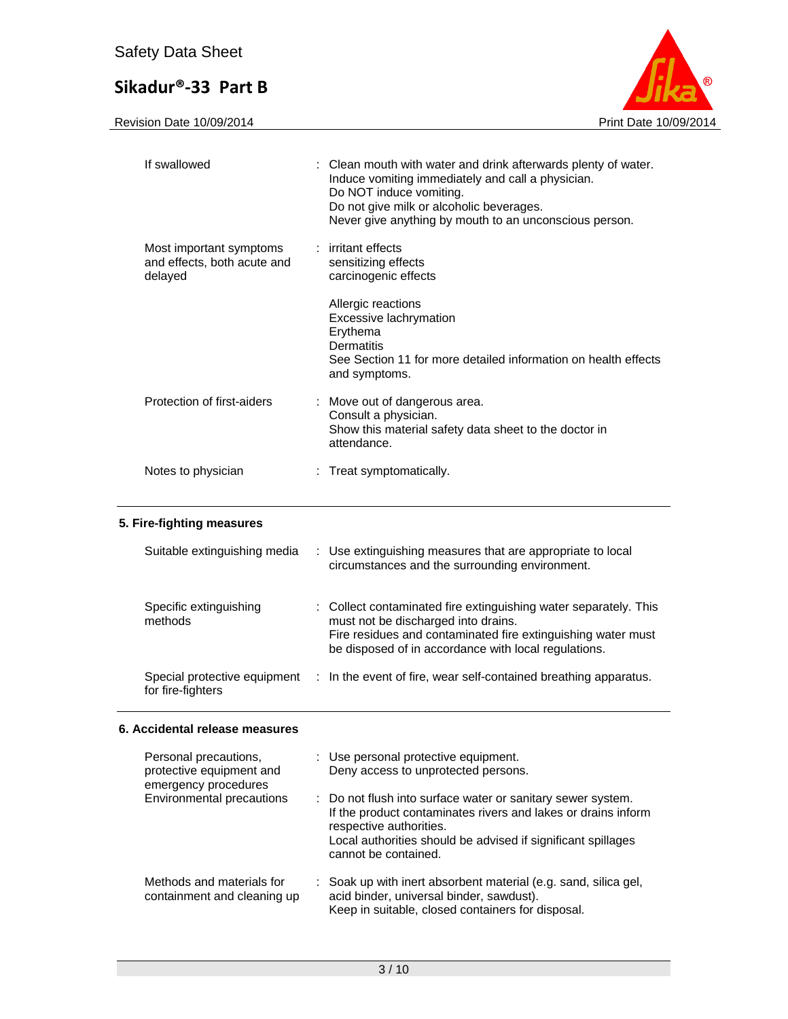

| If swallowed                                                      | : Clean mouth with water and drink afterwards plenty of water.<br>Induce vomiting immediately and call a physician.<br>Do NOT induce vomiting.<br>Do not give milk or alcoholic beverages.<br>Never give anything by mouth to an unconscious person. |  |
|-------------------------------------------------------------------|------------------------------------------------------------------------------------------------------------------------------------------------------------------------------------------------------------------------------------------------------|--|
| Most important symptoms<br>and effects, both acute and<br>delayed | : irritant effects<br>sensitizing effects<br>carcinogenic effects                                                                                                                                                                                    |  |
|                                                                   | Allergic reactions<br>Excessive lachrymation<br>Erythema<br>Dermatitis<br>See Section 11 for more detailed information on health effects<br>and symptoms.                                                                                            |  |
| Protection of first-aiders                                        | : Move out of dangerous area.<br>Consult a physician.<br>Show this material safety data sheet to the doctor in<br>attendance.                                                                                                                        |  |
| Notes to physician                                                | : Treat symptomatically.                                                                                                                                                                                                                             |  |

# **5. Fire-fighting measures**

| Suitable extinguishing media                      | : Use extinguishing measures that are appropriate to local<br>circumstances and the surrounding environment.                                                                                                                    |  |
|---------------------------------------------------|---------------------------------------------------------------------------------------------------------------------------------------------------------------------------------------------------------------------------------|--|
| Specific extinguishing<br>methods                 | : Collect contaminated fire extinguishing water separately. This<br>must not be discharged into drains.<br>Fire residues and contaminated fire extinguishing water must<br>be disposed of in accordance with local regulations. |  |
| Special protective equipment<br>for fire-fighters | : In the event of fire, wear self-contained breathing apparatus.                                                                                                                                                                |  |

# **6. Accidental release measures**

| Personal precautions,<br>protective equipment and<br>emergency procedures | : Use personal protective equipment.<br>Deny access to unprotected persons.                                                                                                                                                                     |
|---------------------------------------------------------------------------|-------------------------------------------------------------------------------------------------------------------------------------------------------------------------------------------------------------------------------------------------|
| Environmental precautions                                                 | : Do not flush into surface water or sanitary sewer system.<br>If the product contaminates rivers and lakes or drains inform<br>respective authorities.<br>Local authorities should be advised if significant spillages<br>cannot be contained. |
| Methods and materials for<br>containment and cleaning up                  | : Soak up with inert absorbent material (e.g. sand, silica gel,<br>acid binder, universal binder, sawdust).<br>Keep in suitable, closed containers for disposal.                                                                                |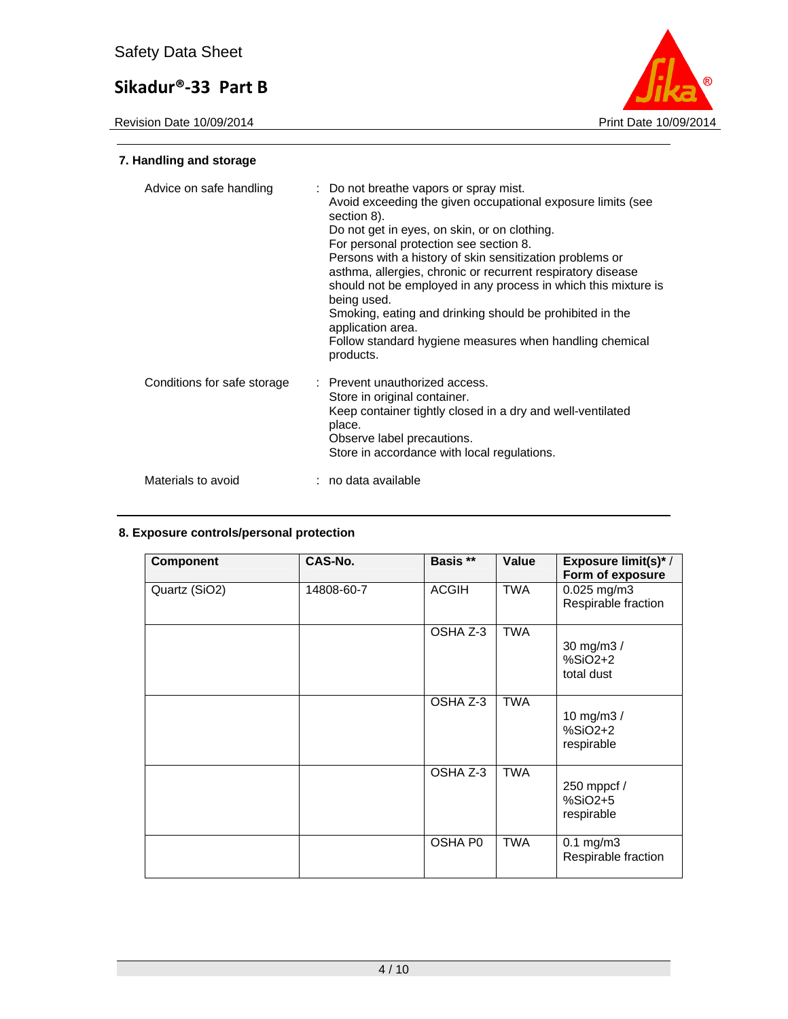

# **7. Handling and storage**

| Advice on safe handling     | : Do not breathe vapors or spray mist.<br>Avoid exceeding the given occupational exposure limits (see<br>section 8).<br>Do not get in eyes, on skin, or on clothing.<br>For personal protection see section 8.<br>Persons with a history of skin sensitization problems or<br>asthma, allergies, chronic or recurrent respiratory disease<br>should not be employed in any process in which this mixture is<br>being used.<br>Smoking, eating and drinking should be prohibited in the<br>application area.<br>Follow standard hygiene measures when handling chemical<br>products. |
|-----------------------------|-------------------------------------------------------------------------------------------------------------------------------------------------------------------------------------------------------------------------------------------------------------------------------------------------------------------------------------------------------------------------------------------------------------------------------------------------------------------------------------------------------------------------------------------------------------------------------------|
| Conditions for safe storage | : Prevent unauthorized access.<br>Store in original container.<br>Keep container tightly closed in a dry and well-ventilated<br>place.<br>Observe label precautions.<br>Store in accordance with local regulations.                                                                                                                                                                                                                                                                                                                                                                 |
| Materials to avoid          | : no data available                                                                                                                                                                                                                                                                                                                                                                                                                                                                                                                                                                 |

# **8. Exposure controls/personal protection**

| <b>Component</b> | <b>CAS-No.</b> | Basis **     | Value      | <b>Exposure limit(s)*/</b><br>Form of exposure |
|------------------|----------------|--------------|------------|------------------------------------------------|
| Quartz (SiO2)    | 14808-60-7     | <b>ACGIH</b> | <b>TWA</b> | 0.025 mg/m3<br>Respirable fraction             |
|                  |                | OSHA Z-3     | <b>TWA</b> | 30 mg/m3 /<br>$%SiO2+2$<br>total dust          |
|                  |                | OSHA Z-3     | <b>TWA</b> | 10 mg/m3 /<br>$%SiO2+2$<br>respirable          |
|                  |                | OSHA Z-3     | <b>TWA</b> | 250 mppcf /<br>%SiO2+5<br>respirable           |
|                  |                | OSHA P0      | <b>TWA</b> | $0.1$ mg/m $3$<br>Respirable fraction          |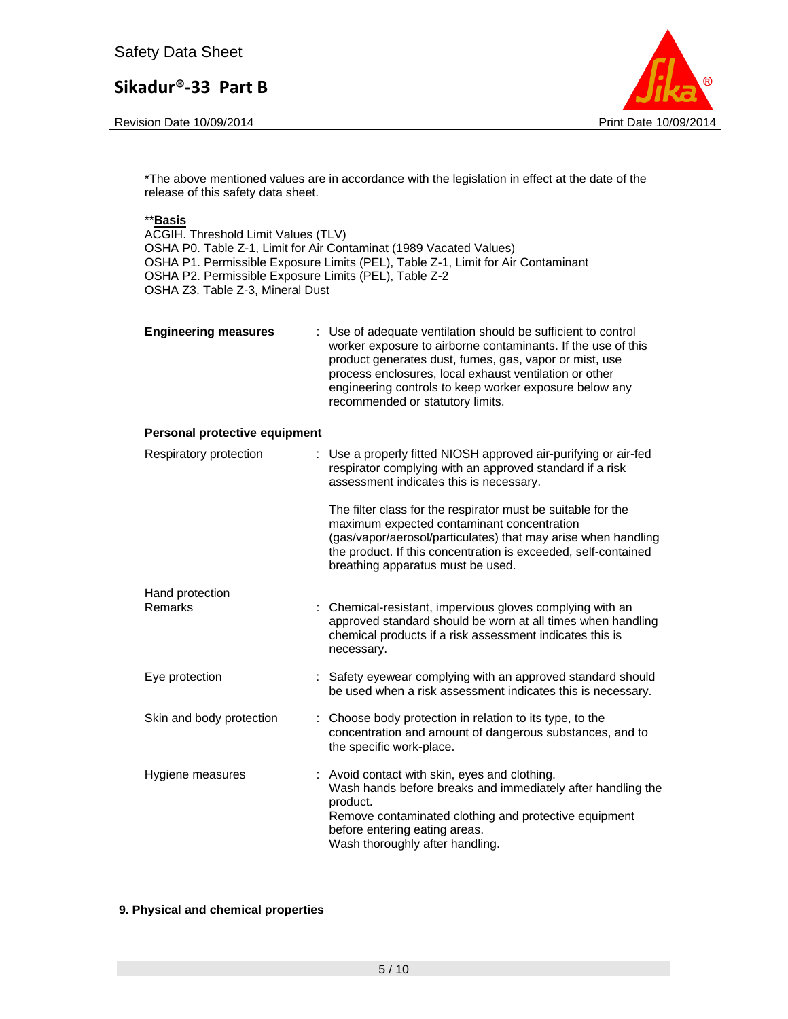Revision Date 10/09/2014 **Print Date 10/09/2014** Print Date 10/09/2014



\*The above mentioned values are in accordance with the legislation in effect at the date of the release of this safety data sheet.

#### \*\***Basis**

ACGIH. Threshold Limit Values (TLV) OSHA P0. Table Z-1, Limit for Air Contaminat (1989 Vacated Values) OSHA P1. Permissible Exposure Limits (PEL), Table Z-1, Limit for Air Contaminant OSHA P2. Permissible Exposure Limits (PEL), Table Z-2 OSHA Z3. Table Z-3, Mineral Dust

| <b>Engineering measures</b> | : Use of adequate ventilation should be sufficient to control<br>worker exposure to airborne contaminants. If the use of this<br>product generates dust, fumes, gas, vapor or mist, use<br>process enclosures, local exhaust ventilation or other<br>engineering controls to keep worker exposure below any<br>recommended or statutory limits. |
|-----------------------------|-------------------------------------------------------------------------------------------------------------------------------------------------------------------------------------------------------------------------------------------------------------------------------------------------------------------------------------------------|
|                             |                                                                                                                                                                                                                                                                                                                                                 |

#### **Personal protective equipment**

| Respiratory protection   | : Use a properly fitted NIOSH approved air-purifying or air-fed<br>respirator complying with an approved standard if a risk<br>assessment indicates this is necessary.                                                                                                             |
|--------------------------|------------------------------------------------------------------------------------------------------------------------------------------------------------------------------------------------------------------------------------------------------------------------------------|
|                          | The filter class for the respirator must be suitable for the<br>maximum expected contaminant concentration<br>(gas/vapor/aerosol/particulates) that may arise when handling<br>the product. If this concentration is exceeded, self-contained<br>breathing apparatus must be used. |
| Hand protection          |                                                                                                                                                                                                                                                                                    |
| Remarks                  | : Chemical-resistant, impervious gloves complying with an<br>approved standard should be worn at all times when handling<br>chemical products if a risk assessment indicates this is<br>necessary.                                                                                 |
| Eye protection           | : Safety eyewear complying with an approved standard should<br>be used when a risk assessment indicates this is necessary.                                                                                                                                                         |
| Skin and body protection | : Choose body protection in relation to its type, to the<br>concentration and amount of dangerous substances, and to<br>the specific work-place.                                                                                                                                   |
| Hygiene measures         | : Avoid contact with skin, eyes and clothing.<br>Wash hands before breaks and immediately after handling the<br>product.<br>Remove contaminated clothing and protective equipment<br>before entering eating areas.<br>Wash thoroughly after handling.                              |

#### **9. Physical and chemical properties**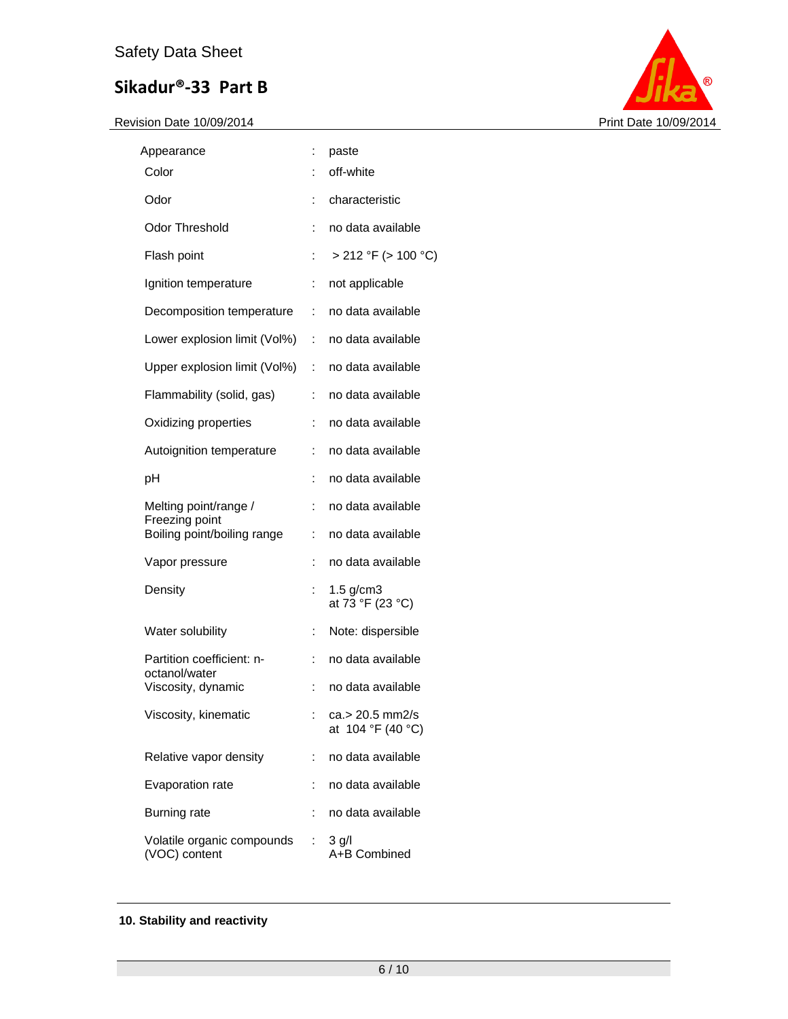

| Appearance                                    | ÷  | paste                                |
|-----------------------------------------------|----|--------------------------------------|
| Color                                         | ÷  | off-white                            |
| Odor                                          | ÷  | characteristic                       |
| <b>Odor Threshold</b>                         | ÷  | no data available                    |
| Flash point                                   | ÷  | > 212 °F (> 100 °C)                  |
| Ignition temperature                          | ÷  | not applicable                       |
| Decomposition temperature                     | ÷  | no data available                    |
| Lower explosion limit (Vol%)                  | ÷  | no data available                    |
| Upper explosion limit (Vol%)                  | ÷. | no data available                    |
| Flammability (solid, gas)                     | ÷  | no data available                    |
| Oxidizing properties                          | ÷  | no data available                    |
| Autoignition temperature                      | ÷  | no data available                    |
| pH                                            | ÷  | no data available                    |
| Melting point/range /                         | ÷  | no data available                    |
| Freezing point<br>Boiling point/boiling range | ÷  | no data available                    |
| Vapor pressure                                | ÷  | no data available                    |
| Density                                       |    | $1.5$ g/cm3<br>at 73 °F (23 °C)      |
| Water solubility                              | ÷. | Note: dispersible                    |
| Partition coefficient: n-<br>octanol/water    | ÷  | no data available                    |
| Viscosity, dynamic                            | ÷  | no data available                    |
| Viscosity, kinematic                          |    | ca.> 20.5 mm2/s<br>at 104 °F (40 °C) |
| Relative vapor density                        | ÷  | no data available                    |
| Evaporation rate                              | ÷  | no data available                    |
| <b>Burning rate</b>                           | ÷  | no data available                    |
| Volatile organic compounds<br>(VOC) content   | ÷  | $3$ g/l<br>A+B Combined              |

# **10. Stability and reactivity**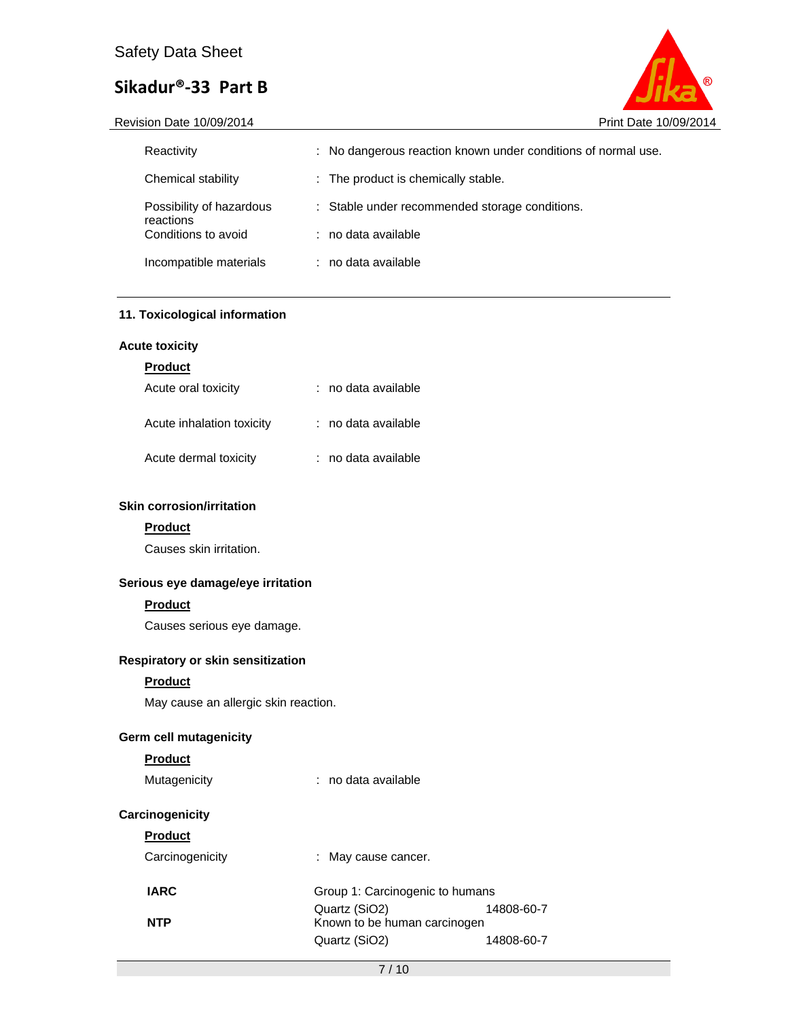Revision Date 10/09/2014 **Print Date 10/09/2014** 



| Reactivity                            | : No dangerous reaction known under conditions of normal use. |
|---------------------------------------|---------------------------------------------------------------|
| Chemical stability                    | : The product is chemically stable.                           |
| Possibility of hazardous<br>reactions | : Stable under recommended storage conditions.                |
| Conditions to avoid                   | : no data available                                           |
| Incompatible materials                | : no data available                                           |

# **11. Toxicological information**

## **Acute toxicity**

#### **Product**

| Acute oral toxicity       | : no data available |
|---------------------------|---------------------|
| Acute inhalation toxicity | : no data available |
| Acute dermal toxicity     | : no data available |

# **Skin corrosion/irritation**

### **Product**

Causes skin irritation.

# **Serious eye damage/eye irritation**

### **Product**

Causes serious eye damage.

# **Respiratory or skin sensitization**

### **Product**

May cause an allergic skin reaction.

## **Germ cell mutagenicity**

# **Product**

|  | Mutagenicity |
|--|--------------|
|  |              |
|  |              |

Mutagenicity **:** no data available

# **Carcinogenicity**

# **Product**

| Carcinogenicity | : May cause cancer.             |            |  |
|-----------------|---------------------------------|------------|--|
| <b>IARC</b>     | Group 1: Carcinogenic to humans |            |  |
|                 | Quartz (SiO2)                   | 14808-60-7 |  |
| <b>NTP</b>      | Known to be human carcinogen    |            |  |
|                 | Quartz (SiO2)                   | 14808-60-7 |  |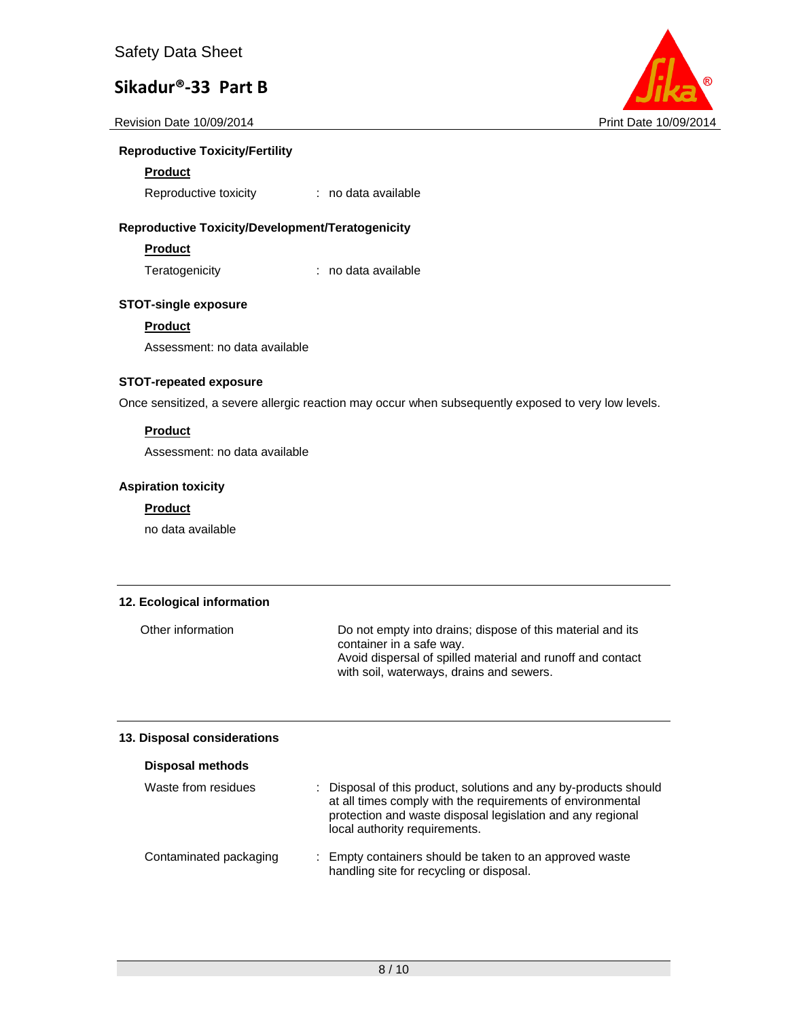

### **Reproductive Toxicity/Fertility**

#### **Product**

Reproductive toxicity : no data available

### **Reproductive Toxicity/Development/Teratogenicity**

# **Product**

Teratogenicity : no data available

## **STOT-single exposure**

### **Product**

Assessment: no data available

### **STOT-repeated exposure**

Once sensitized, a severe allergic reaction may occur when subsequently exposed to very low levels.

# **Product**

Assessment: no data available

### **Aspiration toxicity**

### **Product**

no data available

#### **12. Ecological information**

Other information Do not empty into drains; dispose of this material and its container in a safe way. Avoid dispersal of spilled material and runoff and contact with soil, waterways, drains and sewers.

### **13. Disposal considerations**

| <b>Disposal methods</b> |                                                                                                                                                                                                                               |
|-------------------------|-------------------------------------------------------------------------------------------------------------------------------------------------------------------------------------------------------------------------------|
| Waste from residues     | : Disposal of this product, solutions and any by-products should<br>at all times comply with the requirements of environmental<br>protection and waste disposal legislation and any regional<br>local authority requirements. |
| Contaminated packaging  | : Empty containers should be taken to an approved waste<br>handling site for recycling or disposal.                                                                                                                           |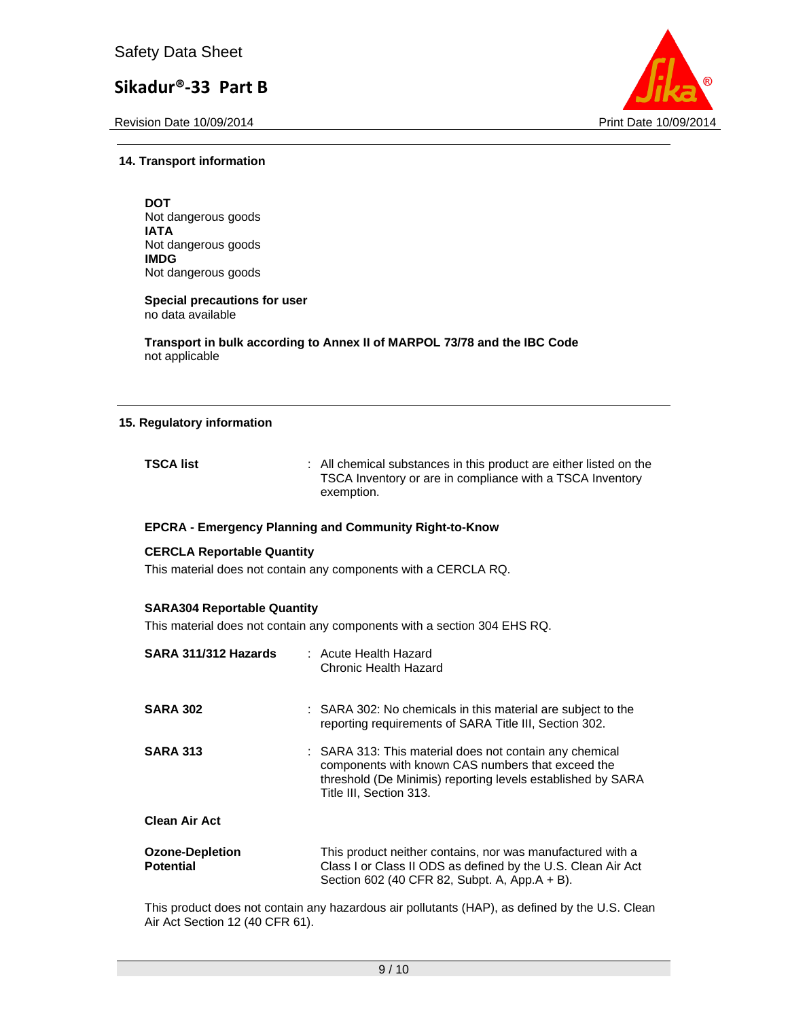Revision Date 10/09/2014 **Print Date 10/09/2014** Print Date 10/09/2014



#### **14. Transport information**

**DOT**  Not dangerous goods **IATA**  Not dangerous goods **IMDG**  Not dangerous goods

**Special precautions for user** no data available

**Transport in bulk according to Annex II of MARPOL 73/78 and the IBC Code**  not applicable

#### **15. Regulatory information**

| <b>TSCA list</b> | : All chemical substances in this product are either listed on the |
|------------------|--------------------------------------------------------------------|
|                  | TSCA Inventory or are in compliance with a TSCA Inventory          |
|                  | exemption.                                                         |

#### **EPCRA - Emergency Planning and Community Right-to-Know**

#### **CERCLA Reportable Quantity**

This material does not contain any components with a CERCLA RQ.

#### **SARA304 Reportable Quantity**

This material does not contain any components with a section 304 EHS RQ.

| SARA 311/312 Hazards                       | : Acute Health Hazard<br>Chronic Health Hazard                                                                                                                                                         |
|--------------------------------------------|--------------------------------------------------------------------------------------------------------------------------------------------------------------------------------------------------------|
| <b>SARA 302</b>                            | : SARA 302: No chemicals in this material are subject to the<br>reporting requirements of SARA Title III, Section 302.                                                                                 |
| <b>SARA 313</b>                            | : SARA 313: This material does not contain any chemical<br>components with known CAS numbers that exceed the<br>threshold (De Minimis) reporting levels established by SARA<br>Title III. Section 313. |
| <b>Clean Air Act</b>                       |                                                                                                                                                                                                        |
| <b>Ozone-Depletion</b><br><b>Potential</b> | This product neither contains, nor was manufactured with a<br>Class I or Class II ODS as defined by the U.S. Clean Air Act<br>Section 602 (40 CFR 82, Subpt. A, App.A + B).                            |

This product does not contain any hazardous air pollutants (HAP), as defined by the U.S. Clean Air Act Section 12 (40 CFR 61).